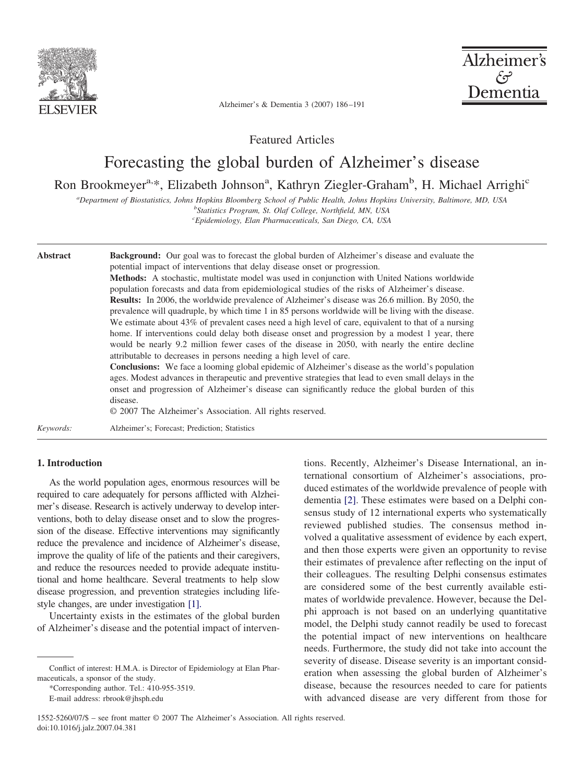

Alzheimer's فهجم Dementia

Alzheimer's & Dementia 3 (2007) 186–191

Featured Articles

# Forecasting the global burden of Alzheimer's disease

## Ron Brookmeyer<sup>a,\*</sup>, Elizabeth Johnson<sup>a</sup>, Kathryn Ziegler-Graham<sup>b</sup>, H. Michael Arrighi<sup>c</sup>

*a Department of Biostatistics, Johns Hopkins Bloomberg School of Public Health, Johns Hopkins University, Baltimore, MD, USA b Statistics Program, St. Olaf College, Northfield, MN, USA*

*c Epidemiology, Elan Pharmaceuticals, San Diego, CA, USA*

| <b>Abstract</b> | <b>Background:</b> Our goal was to forecast the global burden of Alzheimer's disease and evaluate the<br>potential impact of interventions that delay disease onset or progression.<br><b>Methods:</b> A stochastic, multistate model was used in conjunction with United Nations worldwide<br>population forecasts and data from epidemiological studies of the risks of Alzheimer's disease.<br><b>Results:</b> In 2006, the worldwide prevalence of Alzheimer's disease was 26.6 million. By 2050, the<br>prevalence will quadruple, by which time 1 in 85 persons worldwide will be living with the disease.<br>We estimate about 43% of prevalent cases need a high level of care, equivalent to that of a nursing<br>home. If interventions could delay both disease onset and progression by a modest 1 year, there<br>would be nearly 9.2 million fewer cases of the disease in 2050, with nearly the entire decline<br>attributable to decreases in persons needing a high level of care.<br><b>Conclusions:</b> We face a looming global epidemic of Alzheimer's disease as the world's population<br>ages. Modest advances in therapeutic and preventive strategies that lead to even small delays in the<br>onset and progression of Alzheimer's disease can significantly reduce the global burden of this<br>disease.<br>© 2007 The Alzheimer's Association. All rights reserved. |
|-----------------|-------------------------------------------------------------------------------------------------------------------------------------------------------------------------------------------------------------------------------------------------------------------------------------------------------------------------------------------------------------------------------------------------------------------------------------------------------------------------------------------------------------------------------------------------------------------------------------------------------------------------------------------------------------------------------------------------------------------------------------------------------------------------------------------------------------------------------------------------------------------------------------------------------------------------------------------------------------------------------------------------------------------------------------------------------------------------------------------------------------------------------------------------------------------------------------------------------------------------------------------------------------------------------------------------------------------------------------------------------------------------------------------------|
| Keywords:       | Alzheimer's; Forecast; Prediction; Statistics                                                                                                                                                                                                                                                                                                                                                                                                                                                                                                                                                                                                                                                                                                                                                                                                                                                                                                                                                                                                                                                                                                                                                                                                                                                                                                                                                   |

## **1. Introduction**

As the world population ages, enormous resources will be required to care adequately for persons afflicted with Alzheimer's disease. Research is actively underway to develop interventions, both to delay disease onset and to slow the progression of the disease. Effective interventions may significantly reduce the prevalence and incidence of Alzheimer's disease, improve the quality of life of the patients and their caregivers, and reduce the resources needed to provide adequate institutional and home healthcare. Several treatments to help slow disease progression, and prevention strategies including lifestyle changes, are under investigation [\[1\].](#page-5-0)

Uncertainty exists in the estimates of the global burden of Alzheimer's disease and the potential impact of interven-

\*Corresponding author. Tel.: 410-955-3519. E-mail address: rbrook@jhsph.edu

tions. Recently, Alzheimer's Disease International, an international consortium of Alzheimer's associations, produced estimates of the worldwide prevalence of people with dementia [\[2\].](#page-5-0) These estimates were based on a Delphi consensus study of 12 international experts who systematically reviewed published studies. The consensus method involved a qualitative assessment of evidence by each expert, and then those experts were given an opportunity to revise their estimates of prevalence after reflecting on the input of their colleagues. The resulting Delphi consensus estimates are considered some of the best currently available estimates of worldwide prevalence. However, because the Delphi approach is not based on an underlying quantitative model, the Delphi study cannot readily be used to forecast the potential impact of new interventions on healthcare needs. Furthermore, the study did not take into account the severity of disease. Disease severity is an important consideration when assessing the global burden of Alzheimer's disease, because the resources needed to care for patients with advanced disease are very different from those for

Conflict of interest: H.M.A. is Director of Epidemiology at Elan Pharmaceuticals, a sponsor of the study.

<sup>1552-5260/07/\$ –</sup> see front matter © 2007 The Alzheimer's Association. All rights reserved. doi:10.1016/j.jalz.2007.04.381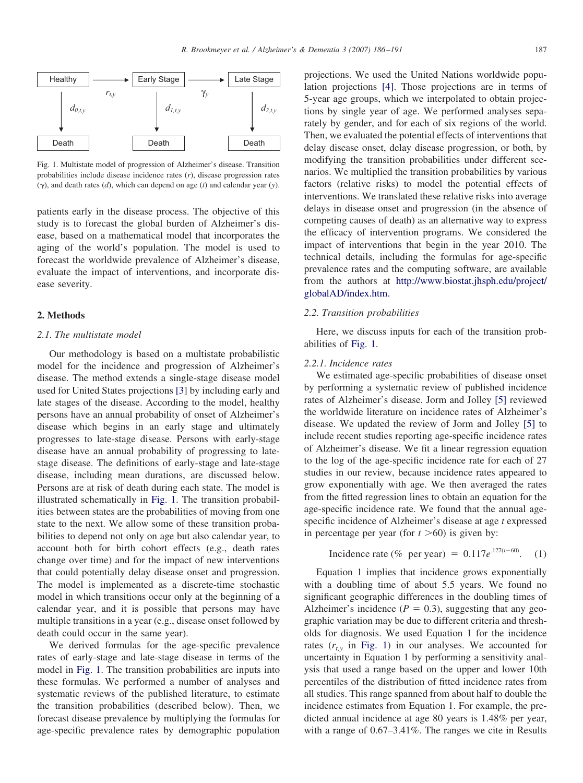

Fig. 1. Multistate model of progression of Alzheimer's disease. Transition probabilities include disease incidence rates (*r*), disease progression rates  $(\gamma)$ , and death rates  $(d)$ , which can depend on age  $(t)$  and calendar year  $(y)$ .

patients early in the disease process. The objective of this study is to forecast the global burden of Alzheimer's disease, based on a mathematical model that incorporates the aging of the world's population. The model is used to forecast the worldwide prevalence of Alzheimer's disease, evaluate the impact of interventions, and incorporate disease severity.

#### **2. Methods**

## *2.1. The multistate model*

Our methodology is based on a multistate probabilistic model for the incidence and progression of Alzheimer's disease. The method extends a single-stage disease model used for United States projections [\[3\]](#page-5-0) by including early and late stages of the disease. According to the model, healthy persons have an annual probability of onset of Alzheimer's disease which begins in an early stage and ultimately progresses to late-stage disease. Persons with early-stage disease have an annual probability of progressing to latestage disease. The definitions of early-stage and late-stage disease, including mean durations, are discussed below. Persons are at risk of death during each state. The model is illustrated schematically in Fig. 1. The transition probabilities between states are the probabilities of moving from one state to the next. We allow some of these transition probabilities to depend not only on age but also calendar year, to account both for birth cohort effects (e.g., death rates change over time) and for the impact of new interventions that could potentially delay disease onset and progression. The model is implemented as a discrete-time stochastic model in which transitions occur only at the beginning of a calendar year, and it is possible that persons may have multiple transitions in a year (e.g., disease onset followed by death could occur in the same year).

We derived formulas for the age-specific prevalence rates of early-stage and late-stage disease in terms of the model in Fig. 1. The transition probabilities are inputs into these formulas. We performed a number of analyses and systematic reviews of the published literature, to estimate the transition probabilities (described below). Then, we forecast disease prevalence by multiplying the formulas for age-specific prevalence rates by demographic population

projections. We used the United Nations worldwide population projections [\[4\].](#page-5-0) Those projections are in terms of 5-year age groups, which we interpolated to obtain projections by single year of age. We performed analyses separately by gender, and for each of six regions of the world. Then, we evaluated the potential effects of interventions that delay disease onset, delay disease progression, or both, by modifying the transition probabilities under different scenarios. We multiplied the transition probabilities by various factors (relative risks) to model the potential effects of interventions. We translated these relative risks into average delays in disease onset and progression (in the absence of competing causes of death) as an alternative way to express the efficacy of intervention programs. We considered the impact of interventions that begin in the year 2010. The technical details, including the formulas for age-specific prevalence rates and the computing software, are available from the authors at [http://www.biostat.jhsph.edu/project/](http://www.biostat.jhsph.edu/project/globalAD/index.htm) [globalAD/index.htm.](http://www.biostat.jhsph.edu/project/globalAD/index.htm)

## *2.2. Transition probabilities*

Here, we discuss inputs for each of the transition probabilities of Fig. 1.

## *2.2.1. Incidence rates*

We estimated age-specific probabilities of disease onset by performing a systematic review of published incidence rates of Alzheimer's disease. Jorm and Jolley [\[5\]](#page-5-0) reviewed the worldwide literature on incidence rates of Alzheimer's disease. We updated the review of Jorm and Jolley [\[5\]](#page-5-0) to include recent studies reporting age-specific incidence rates of Alzheimer's disease. We fit a linear regression equation to the log of the age-specific incidence rate for each of 27 studies in our review, because incidence rates appeared to grow exponentially with age. We then averaged the rates from the fitted regression lines to obtain an equation for the age-specific incidence rate. We found that the annual agespecific incidence of Alzheimer's disease at age *t* expressed in percentage per year (for  $t > 60$ ) is given by:

Incidence rate (
$$
\%
$$
 per year) = 0.117 $e^{.127(t-60)}$ . (1)

Equation 1 implies that incidence grows exponentially with a doubling time of about 5.5 years. We found no significant geographic differences in the doubling times of Alzheimer's incidence  $(P = 0.3)$ , suggesting that any geographic variation may be due to different criteria and thresholds for diagnosis. We used Equation 1 for the incidence rates  $(r_{tx}$  in Fig. 1) in our analyses. We accounted for uncertainty in Equation 1 by performing a sensitivity analysis that used a range based on the upper and lower 10th percentiles of the distribution of fitted incidence rates from all studies. This range spanned from about half to double the incidence estimates from Equation 1. For example, the predicted annual incidence at age 80 years is 1.48% per year, with a range of  $0.67-3.41\%$ . The ranges we cite in Results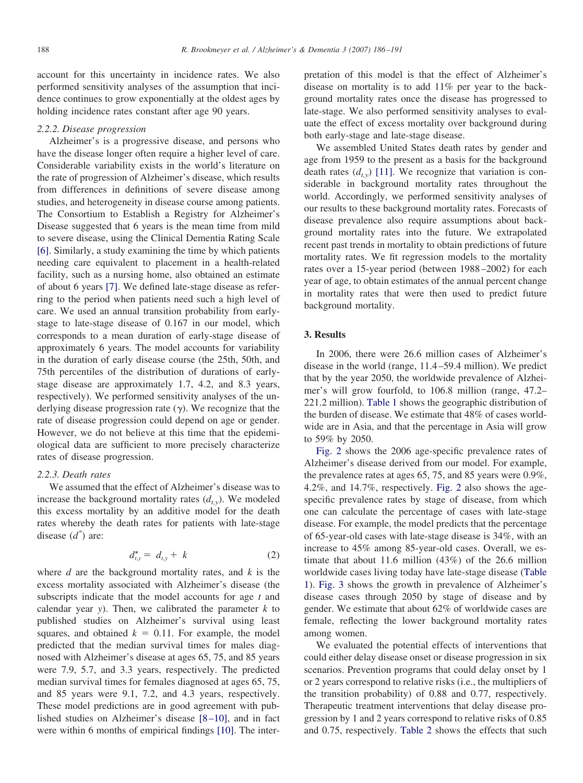account for this uncertainty in incidence rates. We also performed sensitivity analyses of the assumption that incidence continues to grow exponentially at the oldest ages by holding incidence rates constant after age 90 years.

#### *2.2.2. Disease progression*

Alzheimer's is a progressive disease, and persons who have the disease longer often require a higher level of care. Considerable variability exists in the world's literature on the rate of progression of Alzheimer's disease, which results from differences in definitions of severe disease among studies, and heterogeneity in disease course among patients. The Consortium to Establish a Registry for Alzheimer's Disease suggested that 6 years is the mean time from mild to severe disease, using the Clinical Dementia Rating Scale [\[6\].](#page-5-0) Similarly, a study examining the time by which patients needing care equivalent to placement in a health-related facility, such as a nursing home, also obtained an estimate of about 6 years [\[7\].](#page-5-0) We defined late-stage disease as referring to the period when patients need such a high level of care. We used an annual transition probability from earlystage to late-stage disease of 0.167 in our model, which corresponds to a mean duration of early-stage disease of approximately 6 years. The model accounts for variability in the duration of early disease course (the 25th, 50th, and 75th percentiles of the distribution of durations of earlystage disease are approximately 1.7, 4.2, and 8.3 years, respectively). We performed sensitivity analyses of the underlying disease progression rate  $(y)$ . We recognize that the rate of disease progression could depend on age or gender. However, we do not believe at this time that the epidemiological data are sufficient to more precisely characterize rates of disease progression.

## *2.2.3. Death rates*

We assumed that the effect of Alzheimer's disease was to increase the background mortality rates  $(d_{ty})$ . We modeled this excess mortality by an additive model for the death rates whereby the death rates for patients with late-stage disease (*d\** ) are:

$$
d_{t,y}^* = d_{t,y} + k \tag{2}
$$

where *d* are the background mortality rates, and *k* is the excess mortality associated with Alzheimer's disease (the subscripts indicate that the model accounts for age *t* and calendar year *y*). Then, we calibrated the parameter  $k$  to published studies on Alzheimer's survival using least squares, and obtained  $k = 0.11$ . For example, the model predicted that the median survival times for males diagnosed with Alzheimer's disease at ages 65, 75, and 85 years were 7.9, 5.7, and 3.3 years, respectively. The predicted median survival times for females diagnosed at ages 65, 75, and 85 years were 9.1, 7.2, and 4.3 years, respectively. These model predictions are in good agreement with published studies on Alzheimer's disease [\[8–10\],](#page-5-0) and in fact were within 6 months of empirical findings [\[10\].](#page-5-0) The interpretation of this model is that the effect of Alzheimer's disease on mortality is to add 11% per year to the background mortality rates once the disease has progressed to late-stage. We also performed sensitivity analyses to evaluate the effect of excess mortality over background during both early-stage and late-stage disease.

We assembled United States death rates by gender and age from 1959 to the present as a basis for the background death rates  $(d_{ty})$  [\[11\].](#page-5-0) We recognize that variation is considerable in background mortality rates throughout the world. Accordingly, we performed sensitivity analyses of our results to these background mortality rates. Forecasts of disease prevalence also require assumptions about background mortality rates into the future. We extrapolated recent past trends in mortality to obtain predictions of future mortality rates. We fit regression models to the mortality rates over a 15-year period (between 1988–2002) for each year of age, to obtain estimates of the annual percent change in mortality rates that were then used to predict future background mortality.

## **3. Results**

In 2006, there were 26.6 million cases of Alzheimer's disease in the world (range, 11.4–59.4 million). We predict that by the year 2050, the worldwide prevalence of Alzheimer's will grow fourfold, to 106.8 million (range, 47.2– 221.2 million). [Table 1](#page-3-0) shows the geographic distribution of the burden of disease. We estimate that 48% of cases worldwide are in Asia, and that the percentage in Asia will grow to 59% by 2050.

[Fig. 2](#page-3-0) shows the 2006 age-specific prevalence rates of Alzheimer's disease derived from our model. For example, the prevalence rates at ages 65, 75, and 85 years were 0.9%, 4.2%, and 14.7%, respectively. [Fig. 2](#page-3-0) also shows the agespecific prevalence rates by stage of disease, from which one can calculate the percentage of cases with late-stage disease. For example, the model predicts that the percentage of 65-year-old cases with late-stage disease is 34%, with an increase to 45% among 85-year-old cases. Overall, we estimate that about 11.6 million (43%) of the 26.6 million worldwide cases living today have late-stage disease [\(Table](#page-3-0) [1\)](#page-3-0). [Fig. 3](#page-3-0) shows the growth in prevalence of Alzheimer's disease cases through 2050 by stage of disease and by gender. We estimate that about 62% of worldwide cases are female, reflecting the lower background mortality rates among women.

We evaluated the potential effects of interventions that could either delay disease onset or disease progression in six scenarios. Prevention programs that could delay onset by 1 or 2 years correspond to relative risks (i.e., the multipliers of the transition probability) of 0.88 and 0.77, respectively. Therapeutic treatment interventions that delay disease progression by 1 and 2 years correspond to relative risks of 0.85 and 0.75, respectively. [Table 2](#page-4-0) shows the effects that such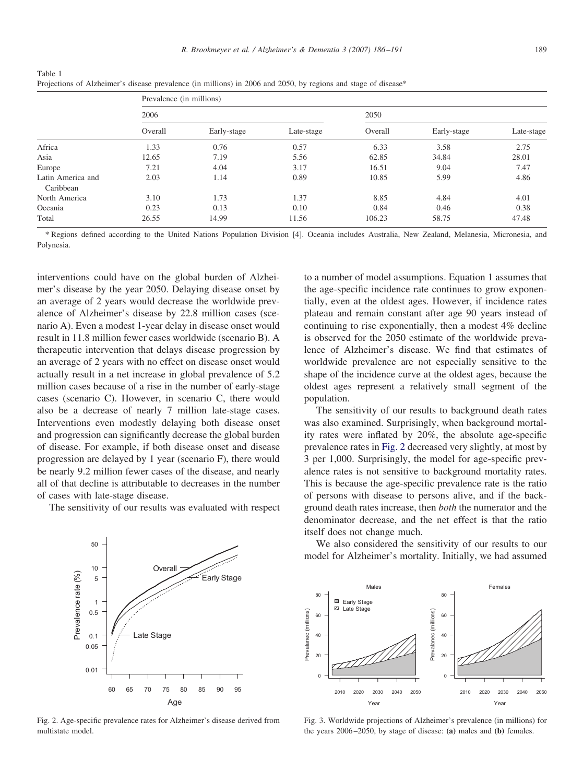| I<br>v.<br>۰. | I<br>ł<br>۰.<br>٠ |
|---------------|-------------------|
|               |                   |

|                                | Prevalence (in millions) |             |            |         |             |            |  |  |
|--------------------------------|--------------------------|-------------|------------|---------|-------------|------------|--|--|
|                                | 2006                     |             |            | 2050    |             |            |  |  |
|                                | Overall                  | Early-stage | Late-stage | Overall | Early-stage | Late-stage |  |  |
| Africa                         | 1.33                     | 0.76        | 0.57       | 6.33    | 3.58        | 2.75       |  |  |
| Asia                           | 12.65                    | 7.19        | 5.56       | 62.85   | 34.84       | 28.01      |  |  |
| Europe                         | 7.21                     | 4.04        | 3.17       | 16.51   | 9.04        | 7.47       |  |  |
| Latin America and<br>Caribbean | 2.03                     | 1.14        | 0.89       | 10.85   | 5.99        | 4.86       |  |  |
| North America                  | 3.10                     | 1.73        | 1.37       | 8.85    | 4.84        | 4.01       |  |  |
| Oceania                        | 0.23                     | 0.13        | 0.10       | 0.84    | 0.46        | 0.38       |  |  |
| Total                          | 26.55                    | 14.99       | 11.56      | 106.23  | 58.75       | 47.48      |  |  |

<span id="page-3-0"></span>Table 1 Projections of Alzheimer's disease prevalence (in millions) in 2006 and 2050, by regions and stage of disease\*

\* Regions defined according to the United Nations Population Division [4]. Oceania includes Australia, New Zealand, Melanesia, Micronesia, and Polynesia.

interventions could have on the global burden of Alzheimer's disease by the year 2050. Delaying disease onset by an average of 2 years would decrease the worldwide prevalence of Alzheimer's disease by 22.8 million cases (scenario A). Even a modest 1-year delay in disease onset would result in 11.8 million fewer cases worldwide (scenario B). A therapeutic intervention that delays disease progression by an average of 2 years with no effect on disease onset would actually result in a net increase in global prevalence of 5.2 million cases because of a rise in the number of early-stage cases (scenario C). However, in scenario C, there would also be a decrease of nearly 7 million late-stage cases. Interventions even modestly delaying both disease onset and progression can significantly decrease the global burden of disease. For example, if both disease onset and disease progression are delayed by 1 year (scenario F), there would be nearly 9.2 million fewer cases of the disease, and nearly all of that decline is attributable to decreases in the number of cases with late-stage disease.

The sensitivity of our results was evaluated with respect



Fig. 2. Age-specific prevalence rates for Alzheimer's disease derived from multistate model.

to a number of model assumptions. Equation 1 assumes that the age-specific incidence rate continues to grow exponentially, even at the oldest ages. However, if incidence rates plateau and remain constant after age 90 years instead of continuing to rise exponentially, then a modest 4% decline is observed for the 2050 estimate of the worldwide prevalence of Alzheimer's disease. We find that estimates of worldwide prevalence are not especially sensitive to the shape of the incidence curve at the oldest ages, because the oldest ages represent a relatively small segment of the population.

The sensitivity of our results to background death rates was also examined. Surprisingly, when background mortality rates were inflated by 20%, the absolute age-specific prevalence rates in Fig. 2 decreased very slightly, at most by 3 per 1,000. Surprisingly, the model for age-specific prevalence rates is not sensitive to background mortality rates. This is because the age-specific prevalence rate is the ratio of persons with disease to persons alive, and if the background death rates increase, then *both* the numerator and the denominator decrease, and the net effect is that the ratio itself does not change much.

We also considered the sensitivity of our results to our model for Alzheimer's mortality. Initially, we had assumed



Fig. 3. Worldwide projections of Alzheimer's prevalence (in millions) for the years 2006–2050, by stage of disease: **(a)** males and **(b)** females.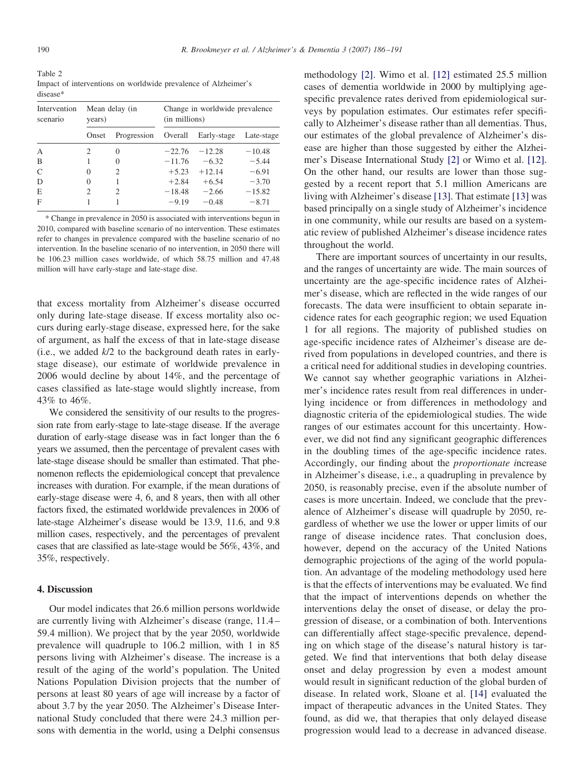<span id="page-4-0"></span>Table 2 Impact of interventions on worldwide prevalence of Alzheimer's disease\*

| Intervention<br>scenario | Mean delay (in<br>years) |             | Change in worldwide prevalence<br>(in millions) |             |            |  |
|--------------------------|--------------------------|-------------|-------------------------------------------------|-------------|------------|--|
|                          | Onset                    | Progression | Overall                                         | Early-stage | Late-stage |  |
| A                        | 2                        | $\Omega$    | $-22.76$                                        | $-12.28$    | $-10.48$   |  |
| B                        |                          | 0           | $-11.76$                                        | $-6.32$     | $-5.44$    |  |
| C                        | 0                        | 2           | $+5.23$                                         | $+12.14$    | $-6.91$    |  |
| D                        | 0                        |             | $+2.84$                                         | $+6.54$     | $-3.70$    |  |
| E                        | $\mathcal{D}$            | 2           | $-18.48$                                        | $-2.66$     | $-15.82$   |  |
| F                        |                          |             | $-9.19$                                         | $-0.48$     | $-8.71$    |  |

\* Change in prevalence in 2050 is associated with interventions begun in 2010, compared with baseline scenario of no intervention. These estimates refer to changes in prevalence compared with the baseline scenario of no intervention. In the baseline scenario of no intervention, in 2050 there will be 106.23 million cases worldwide, of which 58.75 million and 47.48 million will have early-stage and late-stage dise.

that excess mortality from Alzheimer's disease occurred only during late-stage disease. If excess mortality also occurs during early-stage disease, expressed here, for the sake of argument, as half the excess of that in late-stage disease (i.e., we added *k*/2 to the background death rates in earlystage disease), our estimate of worldwide prevalence in 2006 would decline by about 14%, and the percentage of cases classified as late-stage would slightly increase, from 43% to 46%.

We considered the sensitivity of our results to the progression rate from early-stage to late-stage disease. If the average duration of early-stage disease was in fact longer than the 6 years we assumed, then the percentage of prevalent cases with late-stage disease should be smaller than estimated. That phenomenon reflects the epidemiological concept that prevalence increases with duration. For example, if the mean durations of early-stage disease were 4, 6, and 8 years, then with all other factors fixed, the estimated worldwide prevalences in 2006 of late-stage Alzheimer's disease would be 13.9, 11.6, and 9.8 million cases, respectively, and the percentages of prevalent cases that are classified as late-stage would be 56%, 43%, and 35%, respectively.

## **4. Discussion**

Our model indicates that 26.6 million persons worldwide are currently living with Alzheimer's disease (range, 11.4– 59.4 million). We project that by the year 2050, worldwide prevalence will quadruple to 106.2 million, with 1 in 85 persons living with Alzheimer's disease. The increase is a result of the aging of the world's population. The United Nations Population Division projects that the number of persons at least 80 years of age will increase by a factor of about 3.7 by the year 2050. The Alzheimer's Disease International Study concluded that there were 24.3 million persons with dementia in the world, using a Delphi consensus

methodology [\[2\].](#page-5-0) Wimo et al. [\[12\]](#page-5-0) estimated 25.5 million cases of dementia worldwide in 2000 by multiplying agespecific prevalence rates derived from epidemiological surveys by population estimates. Our estimates refer specifically to Alzheimer's disease rather than all dementias. Thus, our estimates of the global prevalence of Alzheimer's disease are higher than those suggested by either the Alzheimer's Disease International Study [\[2\]](#page-5-0) or Wimo et al. [\[12\].](#page-5-0) On the other hand, our results are lower than those suggested by a recent report that 5.1 million Americans are living with Alzheimer's disease [\[13\].](#page-5-0) That estimate [\[13\]](#page-5-0) was based principally on a single study of Alzheimer's incidence in one community, while our results are based on a systematic review of published Alzheimer's disease incidence rates throughout the world.

There are important sources of uncertainty in our results, and the ranges of uncertainty are wide. The main sources of uncertainty are the age-specific incidence rates of Alzheimer's disease, which are reflected in the wide ranges of our forecasts. The data were insufficient to obtain separate incidence rates for each geographic region; we used Equation 1 for all regions. The majority of published studies on age-specific incidence rates of Alzheimer's disease are derived from populations in developed countries, and there is a critical need for additional studies in developing countries. We cannot say whether geographic variations in Alzheimer's incidence rates result from real differences in underlying incidence or from differences in methodology and diagnostic criteria of the epidemiological studies. The wide ranges of our estimates account for this uncertainty. However, we did not find any significant geographic differences in the doubling times of the age-specific incidence rates. Accordingly, our finding about the *proportionate i*ncrease in Alzheimer's disease, i.e., a quadrupling in prevalence by 2050, is reasonably precise, even if the absolute number of cases is more uncertain. Indeed, we conclude that the prevalence of Alzheimer's disease will quadruple by 2050, regardless of whether we use the lower or upper limits of our range of disease incidence rates. That conclusion does, however, depend on the accuracy of the United Nations demographic projections of the aging of the world population. An advantage of the modeling methodology used here is that the effects of interventions may be evaluated. We find that the impact of interventions depends on whether the interventions delay the onset of disease, or delay the progression of disease, or a combination of both. Interventions can differentially affect stage-specific prevalence, depending on which stage of the disease's natural history is targeted. We find that interventions that both delay disease onset and delay progression by even a modest amount would result in significant reduction of the global burden of disease. In related work, Sloane et al. [\[14\]](#page-5-0) evaluated the impact of therapeutic advances in the United States. They found, as did we, that therapies that only delayed disease progression would lead to a decrease in advanced disease.